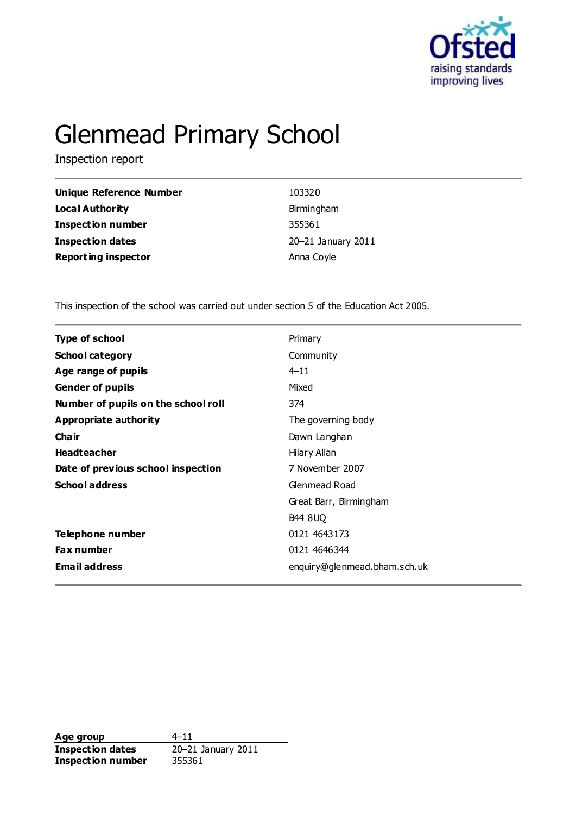

# Glenmead Primary School

Inspection report

| Unique Reference Number    | 103320             |
|----------------------------|--------------------|
| <b>Local Authority</b>     | Birmingham         |
| <b>Inspection number</b>   | 355361             |
| <b>Inspection dates</b>    | 20-21 January 2011 |
| <b>Reporting inspector</b> | Anna Coyle         |

This inspection of the school was carried out under section 5 of the Education Act 2005.

| <b>Type of school</b><br>Primary<br><b>School category</b><br>Community<br>Age range of pupils<br>$4 - 11$<br><b>Gender of pupils</b><br>Mixed<br>Number of pupils on the school roll<br>374<br>Appropriate authority<br>The governing body<br>Cha ir<br>Dawn Langhan<br><b>Headteacher</b><br>Hilary Allan<br>Date of previous school inspection<br>7 November 2007<br><b>School address</b><br>Glenmead Road<br>Great Barr, Birmingham<br><b>B44 8UQ</b><br>Telephone number<br>0121 4643173<br>0121 4646344<br><b>Fax number</b><br><b>Email address</b><br>enquiry@glenmead.bham.sch.uk |  |
|---------------------------------------------------------------------------------------------------------------------------------------------------------------------------------------------------------------------------------------------------------------------------------------------------------------------------------------------------------------------------------------------------------------------------------------------------------------------------------------------------------------------------------------------------------------------------------------------|--|
|                                                                                                                                                                                                                                                                                                                                                                                                                                                                                                                                                                                             |  |
|                                                                                                                                                                                                                                                                                                                                                                                                                                                                                                                                                                                             |  |
|                                                                                                                                                                                                                                                                                                                                                                                                                                                                                                                                                                                             |  |
|                                                                                                                                                                                                                                                                                                                                                                                                                                                                                                                                                                                             |  |
|                                                                                                                                                                                                                                                                                                                                                                                                                                                                                                                                                                                             |  |
|                                                                                                                                                                                                                                                                                                                                                                                                                                                                                                                                                                                             |  |
|                                                                                                                                                                                                                                                                                                                                                                                                                                                                                                                                                                                             |  |
|                                                                                                                                                                                                                                                                                                                                                                                                                                                                                                                                                                                             |  |
|                                                                                                                                                                                                                                                                                                                                                                                                                                                                                                                                                                                             |  |
|                                                                                                                                                                                                                                                                                                                                                                                                                                                                                                                                                                                             |  |
|                                                                                                                                                                                                                                                                                                                                                                                                                                                                                                                                                                                             |  |
|                                                                                                                                                                                                                                                                                                                                                                                                                                                                                                                                                                                             |  |
|                                                                                                                                                                                                                                                                                                                                                                                                                                                                                                                                                                                             |  |
|                                                                                                                                                                                                                                                                                                                                                                                                                                                                                                                                                                                             |  |
|                                                                                                                                                                                                                                                                                                                                                                                                                                                                                                                                                                                             |  |

Age group  $4-11$ **Inspection dates** 20–21 January 2011 **Inspection number** 355361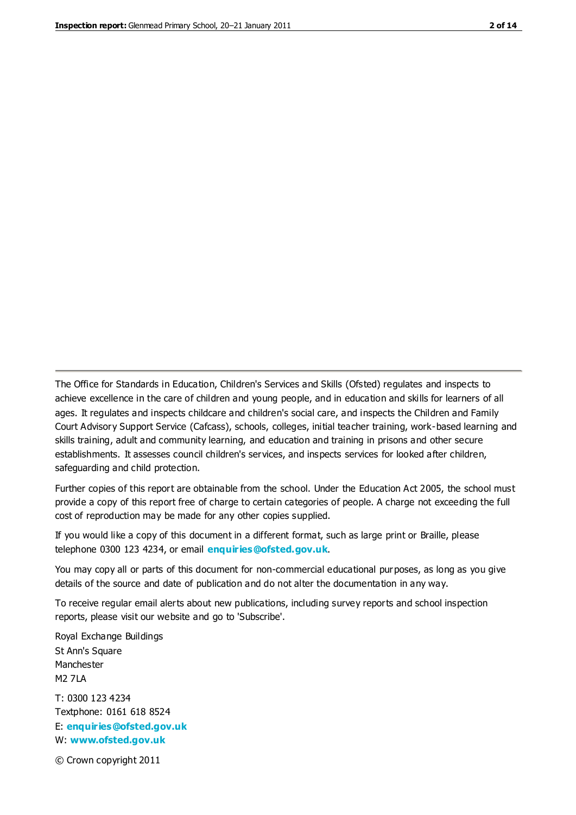The Office for Standards in Education, Children's Services and Skills (Ofsted) regulates and inspects to achieve excellence in the care of children and young people, and in education and skills for learners of all ages. It regulates and inspects childcare and children's social care, and inspects the Children and Family Court Advisory Support Service (Cafcass), schools, colleges, initial teacher training, work-based learning and skills training, adult and community learning, and education and training in prisons and other secure establishments. It assesses council children's services, and inspects services for looked after children, safeguarding and child protection.

Further copies of this report are obtainable from the school. Under the Education Act 2005, the school must provide a copy of this report free of charge to certain categories of people. A charge not exceeding the full cost of reproduction may be made for any other copies supplied.

If you would like a copy of this document in a different format, such as large print or Braille, please telephone 0300 123 4234, or email **[enquiries@ofsted.gov.uk](mailto:enquiries@ofsted.gov.uk)**.

You may copy all or parts of this document for non-commercial educational purposes, as long as you give details of the source and date of publication and do not alter the documentation in any way.

To receive regular email alerts about new publications, including survey reports and school inspection reports, please visit our website and go to 'Subscribe'.

Royal Exchange Buildings St Ann's Square Manchester M2 7LA T: 0300 123 4234 Textphone: 0161 618 8524 E: **[enquiries@ofsted.gov.uk](mailto:enquiries@ofsted.gov.uk)**

W: **[www.ofsted.gov.uk](http://www.ofsted.gov.uk/)**

© Crown copyright 2011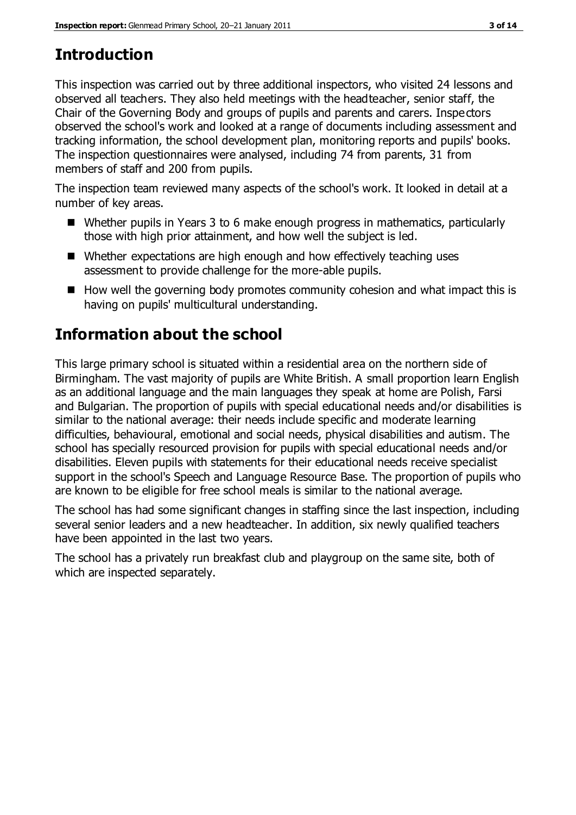## **Introduction**

This inspection was carried out by three additional inspectors, who visited 24 lessons and observed all teachers. They also held meetings with the headteacher, senior staff, the Chair of the Governing Body and groups of pupils and parents and carers. Inspectors observed the school's work and looked at a range of documents including assessment and tracking information, the school development plan, monitoring reports and pupils' books. The inspection questionnaires were analysed, including 74 from parents, 31 from members of staff and 200 from pupils.

The inspection team reviewed many aspects of the school's work. It looked in detail at a number of key areas.

- Whether pupils in Years 3 to 6 make enough progress in mathematics, particularly those with high prior attainment, and how well the subject is led.
- Whether expectations are high enough and how effectively teaching uses assessment to provide challenge for the more-able pupils.
- $\blacksquare$  How well the governing body promotes community cohesion and what impact this is having on pupils' multicultural understanding.

# **Information about the school**

This large primary school is situated within a residential area on the northern side of Birmingham. The vast majority of pupils are White British. A small proportion learn English as an additional language and the main languages they speak at home are Polish, Farsi and Bulgarian. The proportion of pupils with special educational needs and/or disabilities is similar to the national average: their needs include specific and moderate learning difficulties, behavioural, emotional and social needs, physical disabilities and autism. The school has specially resourced provision for pupils with special educational needs and/or disabilities. Eleven pupils with statements for their educational needs receive specialist support in the school's Speech and Language Resource Base. The proportion of pupils who are known to be eligible for free school meals is similar to the national average.

The school has had some significant changes in staffing since the last inspection, including several senior leaders and a new headteacher. In addition, six newly qualified teachers have been appointed in the last two years.

The school has a privately run breakfast club and playgroup on the same site, both of which are inspected separately.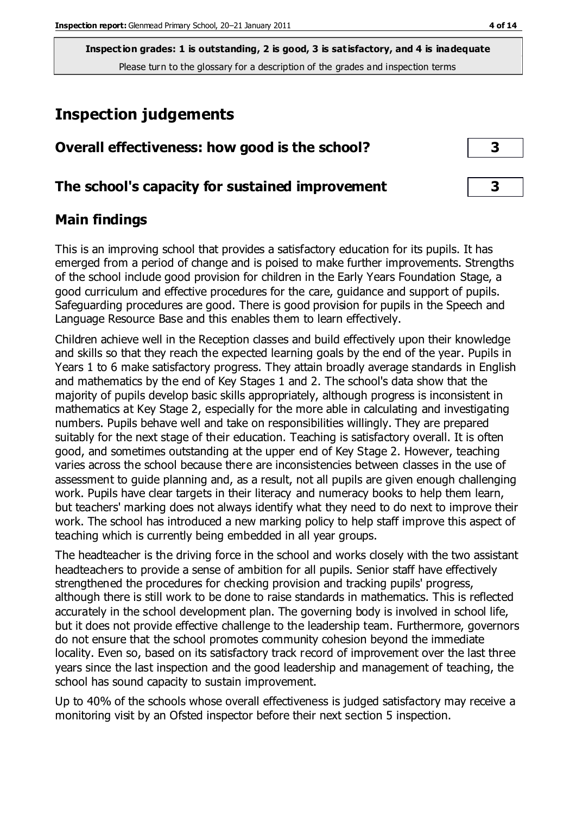## **Inspection judgements**

| Overall effectiveness: how good is the school?  |  |
|-------------------------------------------------|--|
| The school's capacity for sustained improvement |  |

## **Main findings**

This is an improving school that provides a satisfactory education for its pupils. It has emerged from a period of change and is poised to make further improvements. Strengths of the school include good provision for children in the Early Years Foundation Stage, a good curriculum and effective procedures for the care, guidance and support of pupils. Safeguarding procedures are good. There is good provision for pupils in the Speech and Language Resource Base and this enables them to learn effectively.

Children achieve well in the Reception classes and build effectively upon their knowledge and skills so that they reach the expected learning goals by the end of the year. Pupils in Years 1 to 6 make satisfactory progress. They attain broadly average standards in English and mathematics by the end of Key Stages 1 and 2. The school's data show that the majority of pupils develop basic skills appropriately, although progress is inconsistent in mathematics at Key Stage 2, especially for the more able in calculating and investigating numbers. Pupils behave well and take on responsibilities willingly. They are prepared suitably for the next stage of their education. Teaching is satisfactory overall. It is often good, and sometimes outstanding at the upper end of Key Stage 2. However, teaching varies across the school because there are inconsistencies between classes in the use of assessment to guide planning and, as a result, not all pupils are given enough challenging work. Pupils have clear targets in their literacy and numeracy books to help them learn, but teachers' marking does not always identify what they need to do next to improve their work. The school has introduced a new marking policy to help staff improve this aspect of teaching which is currently being embedded in all year groups.

The headteacher is the driving force in the school and works closely with the two assistant headteachers to provide a sense of ambition for all pupils. Senior staff have effectively strengthened the procedures for checking provision and tracking pupils' progress, although there is still work to be done to raise standards in mathematics. This is reflected accurately in the school development plan. The governing body is involved in school life, but it does not provide effective challenge to the leadership team. Furthermore, governors do not ensure that the school promotes community cohesion beyond the immediate locality. Even so, based on its satisfactory track record of improvement over the last three years since the last inspection and the good leadership and management of teaching, the school has sound capacity to sustain improvement.

Up to 40% of the schools whose overall effectiveness is judged satisfactory may receive a monitoring visit by an Ofsted inspector before their next section 5 inspection.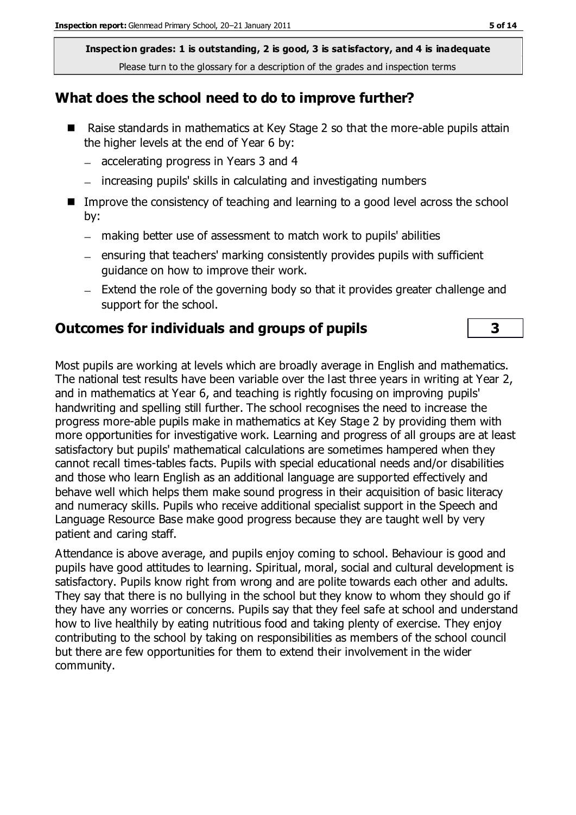#### **What does the school need to do to improve further?**

- Raise standards in mathematics at Key Stage 2 so that the more-able pupils attain the higher levels at the end of Year 6 by:
	- accelerating progress in Years 3 and 4
	- increasing pupils' skills in calculating and investigating numbers
- Improve the consistency of teaching and learning to a good level across the school by:
	- making better use of assessment to match work to pupils' abilities
	- $-$  ensuring that teachers' marking consistently provides pupils with sufficient guidance on how to improve their work.
	- $-$  Extend the role of the governing body so that it provides greater challenge and support for the school.

## **Outcomes for individuals and groups of pupils 3**

Most pupils are working at levels which are broadly average in English and mathematics. The national test results have been variable over the last three years in writing at Year 2, and in mathematics at Year 6, and teaching is rightly focusing on improving pupils' handwriting and spelling still further. The school recognises the need to increase the progress more-able pupils make in mathematics at Key Stage 2 by providing them with more opportunities for investigative work. Learning and progress of all groups are at least satisfactory but pupils' mathematical calculations are sometimes hampered when they cannot recall times-tables facts. Pupils with special educational needs and/or disabilities and those who learn English as an additional language are supported effectively and behave well which helps them make sound progress in their acquisition of basic literacy and numeracy skills. Pupils who receive additional specialist support in the Speech and Language Resource Base make good progress because they are taught well by very patient and caring staff.

Attendance is above average, and pupils enjoy coming to school. Behaviour is good and pupils have good attitudes to learning. Spiritual, moral, social and cultural development is satisfactory. Pupils know right from wrong and are polite towards each other and adults. They say that there is no bullying in the school but they know to whom they should go if they have any worries or concerns. Pupils say that they feel safe at school and understand how to live healthily by eating nutritious food and taking plenty of exercise. They enjoy contributing to the school by taking on responsibilities as members of the school council but there are few opportunities for them to extend their involvement in the wider community.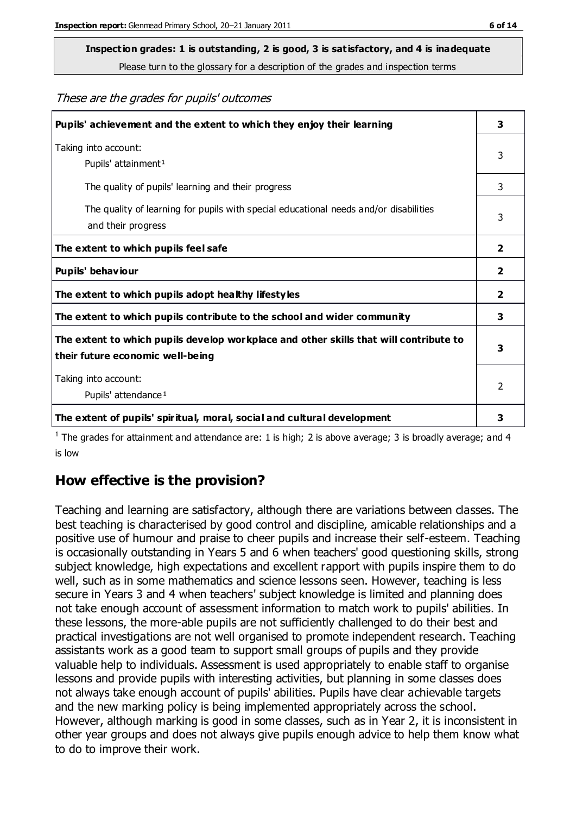# **Inspection grades: 1 is outstanding, 2 is good, 3 is satisfactory, and 4 is inadequate**

Please turn to the glossary for a description of the grades and inspection terms

#### These are the grades for pupils' outcomes

| Pupils' achievement and the extent to which they enjoy their learning                                                     | 3             |
|---------------------------------------------------------------------------------------------------------------------------|---------------|
| Taking into account:<br>Pupils' attainment <sup>1</sup>                                                                   | 3             |
| The quality of pupils' learning and their progress                                                                        | 3             |
| The quality of learning for pupils with special educational needs and/or disabilities<br>and their progress               | 3             |
| The extent to which pupils feel safe                                                                                      | $\mathbf{2}$  |
| Pupils' behaviour                                                                                                         | 2             |
| The extent to which pupils adopt healthy lifestyles                                                                       | 2             |
| The extent to which pupils contribute to the school and wider community                                                   | 3             |
| The extent to which pupils develop workplace and other skills that will contribute to<br>their future economic well-being | 3             |
| Taking into account:<br>Pupils' attendance <sup>1</sup>                                                                   | $\mathcal{P}$ |
| The extent of pupils' spiritual, moral, social and cultural development                                                   | 3             |

<sup>1</sup> The grades for attainment and attendance are: 1 is high; 2 is above average; 3 is broadly average; and 4 is low

### **How effective is the provision?**

Teaching and learning are satisfactory, although there are variations between classes. The best teaching is characterised by good control and discipline, amicable relationships and a positive use of humour and praise to cheer pupils and increase their self-esteem. Teaching is occasionally outstanding in Years 5 and 6 when teachers' good questioning skills, strong subject knowledge, high expectations and excellent rapport with pupils inspire them to do well, such as in some mathematics and science lessons seen. However, teaching is less secure in Years 3 and 4 when teachers' subject knowledge is limited and planning does not take enough account of assessment information to match work to pupils' abilities. In these lessons, the more-able pupils are not sufficiently challenged to do their best and practical investigations are not well organised to promote independent research. Teaching assistants work as a good team to support small groups of pupils and they provide valuable help to individuals. Assessment is used appropriately to enable staff to organise lessons and provide pupils with interesting activities, but planning in some classes does not always take enough account of pupils' abilities. Pupils have clear achievable targets and the new marking policy is being implemented appropriately across the school. However, although marking is good in some classes, such as in Year 2, it is inconsistent in other year groups and does not always give pupils enough advice to help them know what to do to improve their work.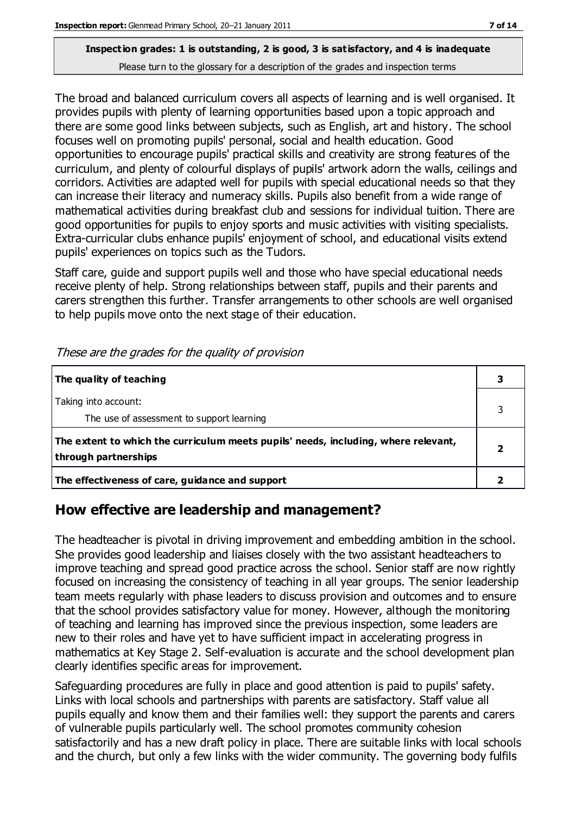The broad and balanced curriculum covers all aspects of learning and is well organised. It provides pupils with plenty of learning opportunities based upon a topic approach and there are some good links between subjects, such as English, art and history. The school focuses well on promoting pupils' personal, social and health education. Good opportunities to encourage pupils' practical skills and creativity are strong features of the curriculum, and plenty of colourful displays of pupils' artwork adorn the walls, ceilings and corridors. Activities are adapted well for pupils with special educational needs so that they can increase their literacy and numeracy skills. Pupils also benefit from a wide range of mathematical activities during breakfast club and sessions for individual tuition. There are good opportunities for pupils to enjoy sports and music activities with visiting specialists. Extra-curricular clubs enhance pupils' enjoyment of school, and educational visits extend pupils' experiences on topics such as the Tudors.

Staff care, guide and support pupils well and those who have special educational needs receive plenty of help. Strong relationships between staff, pupils and their parents and carers strengthen this further. Transfer arrangements to other schools are well organised to help pupils move onto the next stage of their education.

| The quality of teaching                                                                                    |  |
|------------------------------------------------------------------------------------------------------------|--|
| Taking into account:<br>The use of assessment to support learning                                          |  |
| The extent to which the curriculum meets pupils' needs, including, where relevant,<br>through partnerships |  |
| The effectiveness of care, guidance and support                                                            |  |

These are the grades for the quality of provision

## **How effective are leadership and management?**

The headteacher is pivotal in driving improvement and embedding ambition in the school. She provides good leadership and liaises closely with the two assistant headteachers to improve teaching and spread good practice across the school. Senior staff are now rightly focused on increasing the consistency of teaching in all year groups. The senior leadership team meets regularly with phase leaders to discuss provision and outcomes and to ensure that the school provides satisfactory value for money. However, although the monitoring of teaching and learning has improved since the previous inspection, some leaders are new to their roles and have yet to have sufficient impact in accelerating progress in mathematics at Key Stage 2. Self-evaluation is accurate and the school development plan clearly identifies specific areas for improvement.

Safeguarding procedures are fully in place and good attention is paid to pupils' safety. Links with local schools and partnerships with parents are satisfactory. Staff value all pupils equally and know them and their families well: they support the parents and carers of vulnerable pupils particularly well. The school promotes community cohesion satisfactorily and has a new draft policy in place. There are suitable links with local schools and the church, but only a few links with the wider community. The governing body fulfils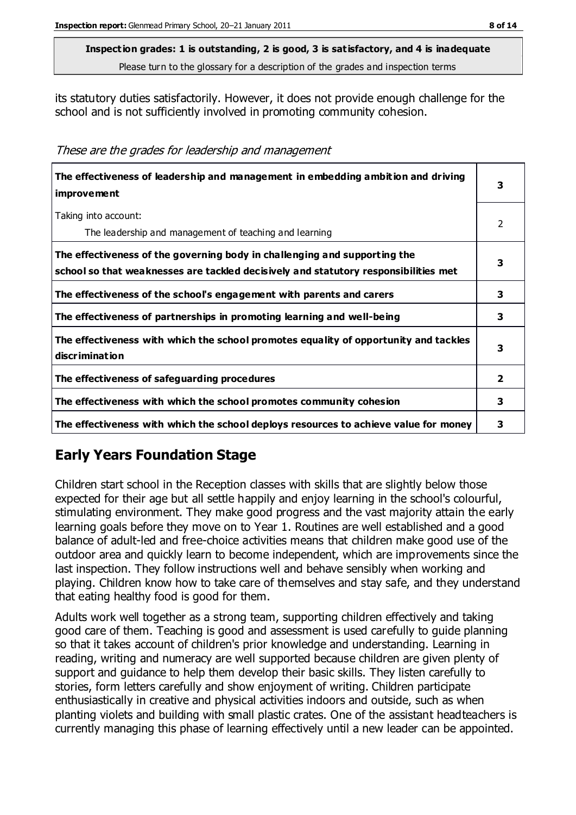its statutory duties satisfactorily. However, it does not provide enough challenge for the school and is not sufficiently involved in promoting community cohesion.

These are the grades for leadership and management

| The effectiveness of leadership and management in embedding ambition and driving<br>improvement                                                                  | 3 |
|------------------------------------------------------------------------------------------------------------------------------------------------------------------|---|
| Taking into account:<br>The leadership and management of teaching and learning                                                                                   | 2 |
| The effectiveness of the governing body in challenging and supporting the<br>school so that weaknesses are tackled decisively and statutory responsibilities met | 3 |
| The effectiveness of the school's engagement with parents and carers                                                                                             | 3 |
| The effectiveness of partnerships in promoting learning and well-being                                                                                           | 3 |
| The effectiveness with which the school promotes equality of opportunity and tackles<br>discrimination                                                           | 3 |
| The effectiveness of safeguarding procedures                                                                                                                     | 2 |
| The effectiveness with which the school promotes community cohesion                                                                                              | 3 |
| The effectiveness with which the school deploys resources to achieve value for money                                                                             | 3 |

## **Early Years Foundation Stage**

Children start school in the Reception classes with skills that are slightly below those expected for their age but all settle happily and enjoy learning in the school's colourful, stimulating environment. They make good progress and the vast majority attain the early learning goals before they move on to Year 1. Routines are well established and a good balance of adult-led and free-choice activities means that children make good use of the outdoor area and quickly learn to become independent, which are improvements since the last inspection. They follow instructions well and behave sensibly when working and playing. Children know how to take care of themselves and stay safe, and they understand that eating healthy food is good for them.

Adults work well together as a strong team, supporting children effectively and taking good care of them. Teaching is good and assessment is used carefully to guide planning so that it takes account of children's prior knowledge and understanding. Learning in reading, writing and numeracy are well supported because children are given plenty of support and guidance to help them develop their basic skills. They listen carefully to stories, form letters carefully and show enjoyment of writing. Children participate enthusiastically in creative and physical activities indoors and outside, such as when planting violets and building with small plastic crates. One of the assistant headteachers is currently managing this phase of learning effectively until a new leader can be appointed.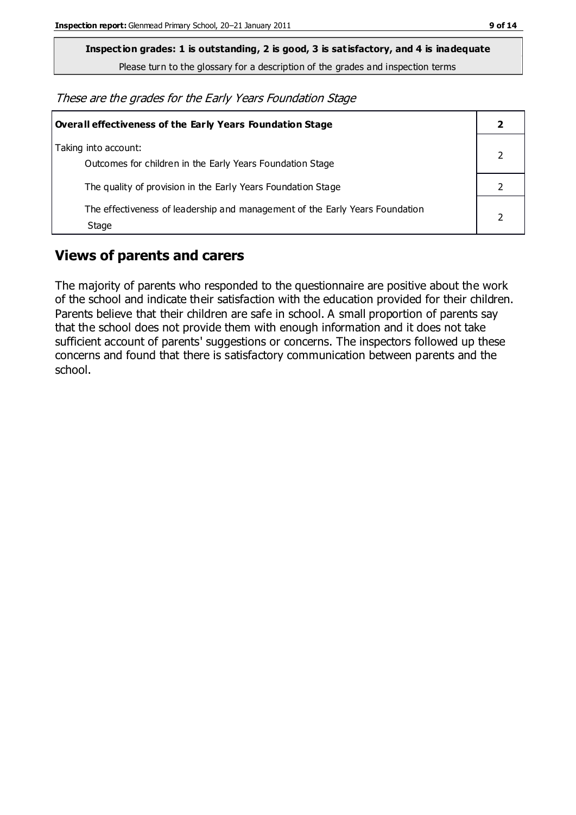**Inspection grades: 1 is outstanding, 2 is good, 3 is satisfactory, and 4 is inadequate**

Please turn to the glossary for a description of the grades and inspection terms

These are the grades for the Early Years Foundation Stage

| Overall effectiveness of the Early Years Foundation Stage                             |  |
|---------------------------------------------------------------------------------------|--|
| Taking into account:<br>Outcomes for children in the Early Years Foundation Stage     |  |
| The quality of provision in the Early Years Foundation Stage                          |  |
| The effectiveness of leadership and management of the Early Years Foundation<br>Stage |  |

## **Views of parents and carers**

The majority of parents who responded to the questionnaire are positive about the work of the school and indicate their satisfaction with the education provided for their children. Parents believe that their children are safe in school. A small proportion of parents say that the school does not provide them with enough information and it does not take sufficient account of parents' suggestions or concerns. The inspectors followed up these concerns and found that there is satisfactory communication between parents and the school.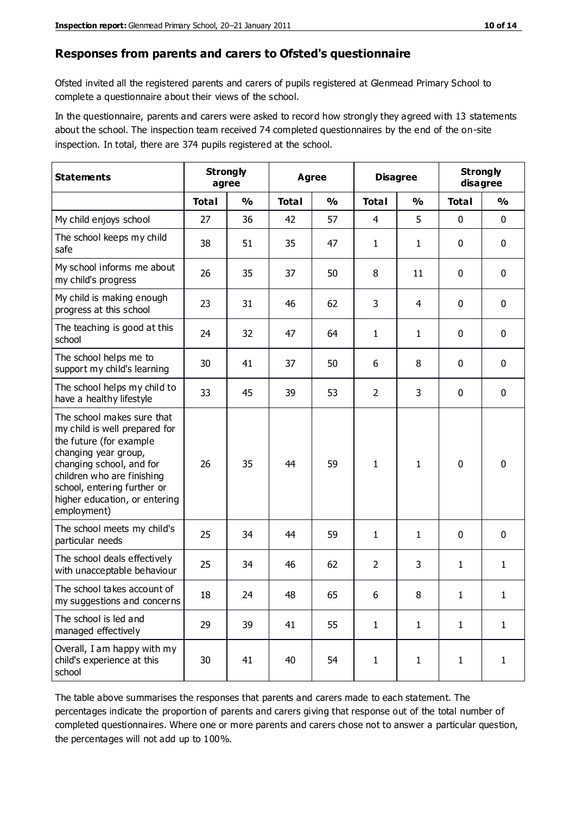#### **Responses from parents and carers to Ofsted's questionnaire**

Ofsted invited all the registered parents and carers of pupils registered at Glenmead Primary School to complete a questionnaire about their views of the school.

In the questionnaire, parents and carers were asked to record how strongly they agreed with 13 statements about the school. The inspection team received 74 completed questionnaires by the end of the on-site inspection. In total, there are 374 pupils registered at the school.

| <b>Statements</b>                                                                                                                                                                                                                                       | <b>Strongly</b><br>agree |               | Agree        |               | <b>Disagree</b> |               | <b>Strongly</b><br>disagree |               |
|---------------------------------------------------------------------------------------------------------------------------------------------------------------------------------------------------------------------------------------------------------|--------------------------|---------------|--------------|---------------|-----------------|---------------|-----------------------------|---------------|
|                                                                                                                                                                                                                                                         | <b>Total</b>             | $\frac{0}{0}$ | <b>Total</b> | $\frac{0}{0}$ | <b>Total</b>    | $\frac{0}{0}$ | <b>Total</b>                | $\frac{0}{0}$ |
| My child enjoys school                                                                                                                                                                                                                                  | 27                       | 36            | 42           | 57            | $\overline{4}$  | 5             | 0                           | $\mathbf 0$   |
| The school keeps my child<br>safe                                                                                                                                                                                                                       | 38                       | 51            | 35           | 47            | $\mathbf{1}$    | 1             | 0                           | $\pmb{0}$     |
| My school informs me about<br>my child's progress                                                                                                                                                                                                       | 26                       | 35            | 37           | 50            | 8               | 11            | $\mathbf 0$                 | $\mathbf 0$   |
| My child is making enough<br>progress at this school                                                                                                                                                                                                    | 23                       | 31            | 46           | 62            | 3               | 4             | 0                           | $\mathbf 0$   |
| The teaching is good at this<br>school                                                                                                                                                                                                                  | 24                       | 32            | 47           | 64            | $\mathbf{1}$    | $\mathbf{1}$  | 0                           | 0             |
| The school helps me to<br>support my child's learning                                                                                                                                                                                                   | 30                       | 41            | 37           | 50            | 6               | 8             | 0                           | $\mathbf 0$   |
| The school helps my child to<br>have a healthy lifestyle                                                                                                                                                                                                | 33                       | 45            | 39           | 53            | $\overline{2}$  | 3             | 0                           | 0             |
| The school makes sure that<br>my child is well prepared for<br>the future (for example<br>changing year group,<br>changing school, and for<br>children who are finishing<br>school, entering further or<br>higher education, or entering<br>employment) | 26                       | 35            | 44           | 59            | $\mathbf{1}$    | 1             | $\mathbf 0$                 | $\mathbf 0$   |
| The school meets my child's<br>particular needs                                                                                                                                                                                                         | 25                       | 34            | 44           | 59            | $\mathbf{1}$    | 1             | $\mathbf 0$                 | $\mathbf 0$   |
| The school deals effectively<br>with unacceptable behaviour                                                                                                                                                                                             | 25                       | 34            | 46           | 62            | $\overline{2}$  | 3             | 1                           | $\mathbf{1}$  |
| The school takes account of<br>my suggestions and concerns                                                                                                                                                                                              | 18                       | 24            | 48           | 65            | 6               | 8             | 1                           | 1             |
| The school is led and<br>managed effectively                                                                                                                                                                                                            | 29                       | 39            | 41           | 55            | $\mathbf{1}$    | $\mathbf{1}$  | $\mathbf{1}$                | $\mathbf{1}$  |
| Overall, I am happy with my<br>child's experience at this<br>school                                                                                                                                                                                     | 30                       | 41            | 40           | 54            | $\mathbf{1}$    | $\mathbf{1}$  | $\mathbf{1}$                | $\mathbf{1}$  |

The table above summarises the responses that parents and carers made to each statement. The percentages indicate the proportion of parents and carers giving that response out of the total number of completed questionnaires. Where one or more parents and carers chose not to answer a particular question, the percentages will not add up to 100%.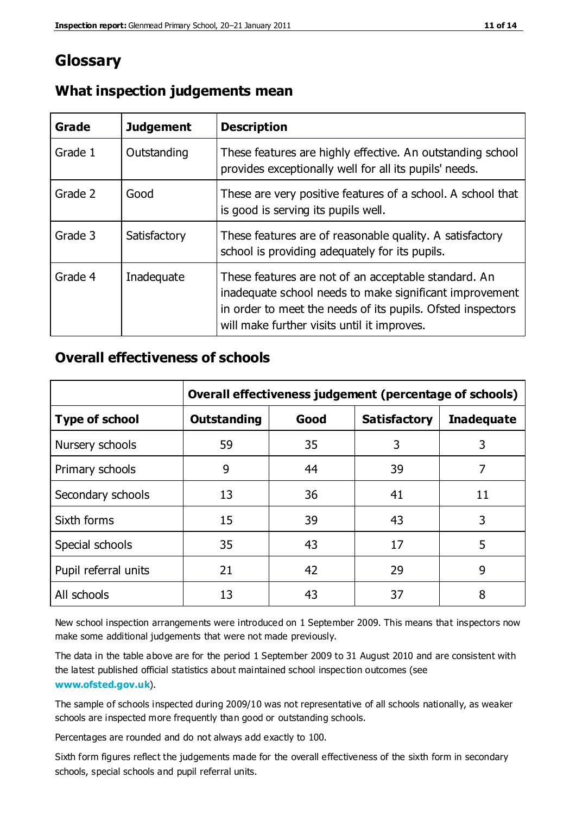## **Glossary**

| Grade   | <b>Judgement</b> | <b>Description</b>                                                                                                                                                                                                            |
|---------|------------------|-------------------------------------------------------------------------------------------------------------------------------------------------------------------------------------------------------------------------------|
| Grade 1 | Outstanding      | These features are highly effective. An outstanding school<br>provides exceptionally well for all its pupils' needs.                                                                                                          |
| Grade 2 | Good             | These are very positive features of a school. A school that<br>is good is serving its pupils well.                                                                                                                            |
| Grade 3 | Satisfactory     | These features are of reasonable quality. A satisfactory<br>school is providing adequately for its pupils.                                                                                                                    |
| Grade 4 | Inadequate       | These features are not of an acceptable standard. An<br>inadequate school needs to make significant improvement<br>in order to meet the needs of its pupils. Ofsted inspectors<br>will make further visits until it improves. |

## **What inspection judgements mean**

## **Overall effectiveness of schools**

|                       | Overall effectiveness judgement (percentage of schools) |      |                     |                   |
|-----------------------|---------------------------------------------------------|------|---------------------|-------------------|
| <b>Type of school</b> | <b>Outstanding</b>                                      | Good | <b>Satisfactory</b> | <b>Inadequate</b> |
| Nursery schools       | 59                                                      | 35   | 3                   | 3                 |
| Primary schools       | 9                                                       | 44   | 39                  | 7                 |
| Secondary schools     | 13                                                      | 36   | 41                  | 11                |
| Sixth forms           | 15                                                      | 39   | 43                  | 3                 |
| Special schools       | 35                                                      | 43   | 17                  | 5                 |
| Pupil referral units  | 21                                                      | 42   | 29                  | 9                 |
| All schools           | 13                                                      | 43   | 37                  | 8                 |

New school inspection arrangements were introduced on 1 September 2009. This means that inspectors now make some additional judgements that were not made previously.

The data in the table above are for the period 1 September 2009 to 31 August 2010 and are consistent with the latest published official statistics about maintained school inspec tion outcomes (see **[www.ofsted.gov.uk](http://www.ofsted.gov.uk/)**).

The sample of schools inspected during 2009/10 was not representative of all schools nationally, as weaker schools are inspected more frequently than good or outstanding schools.

Percentages are rounded and do not always add exactly to 100.

Sixth form figures reflect the judgements made for the overall effectiveness of the sixth form in secondary schools, special schools and pupil referral units.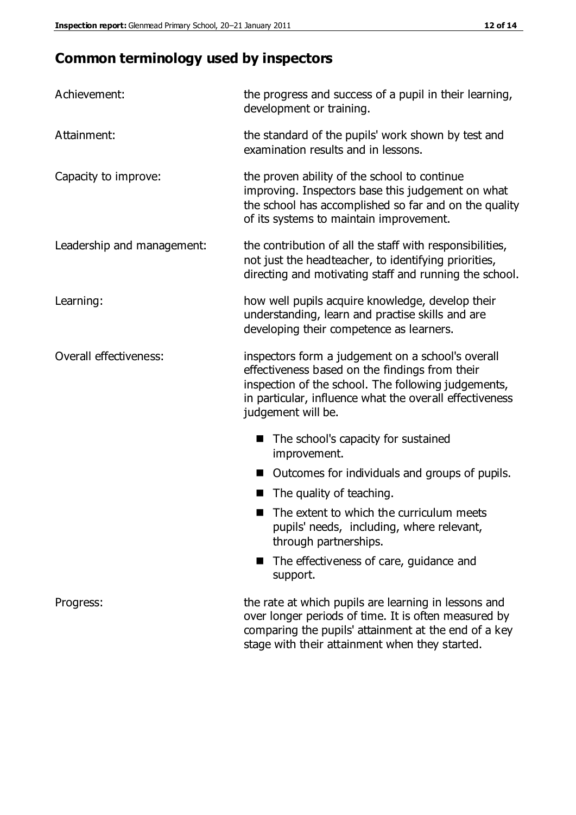## **Common terminology used by inspectors**

| Achievement:               | the progress and success of a pupil in their learning,<br>development or training.                                                                                                                                                          |
|----------------------------|---------------------------------------------------------------------------------------------------------------------------------------------------------------------------------------------------------------------------------------------|
| Attainment:                | the standard of the pupils' work shown by test and<br>examination results and in lessons.                                                                                                                                                   |
| Capacity to improve:       | the proven ability of the school to continue<br>improving. Inspectors base this judgement on what<br>the school has accomplished so far and on the quality<br>of its systems to maintain improvement.                                       |
| Leadership and management: | the contribution of all the staff with responsibilities,<br>not just the headteacher, to identifying priorities,<br>directing and motivating staff and running the school.                                                                  |
| Learning:                  | how well pupils acquire knowledge, develop their<br>understanding, learn and practise skills and are<br>developing their competence as learners.                                                                                            |
| Overall effectiveness:     | inspectors form a judgement on a school's overall<br>effectiveness based on the findings from their<br>inspection of the school. The following judgements,<br>in particular, influence what the overall effectiveness<br>judgement will be. |
|                            | The school's capacity for sustained<br>improvement.                                                                                                                                                                                         |
|                            | Outcomes for individuals and groups of pupils.                                                                                                                                                                                              |
|                            | The quality of teaching.                                                                                                                                                                                                                    |
|                            | The extent to which the curriculum meets<br>pupils' needs, including, where relevant,<br>through partnerships.                                                                                                                              |
|                            | The effectiveness of care, guidance and<br>support.                                                                                                                                                                                         |
| Progress:                  | the rate at which pupils are learning in lessons and<br>over longer periods of time. It is often measured by<br>comparing the pupils' attainment at the end of a key                                                                        |

stage with their attainment when they started.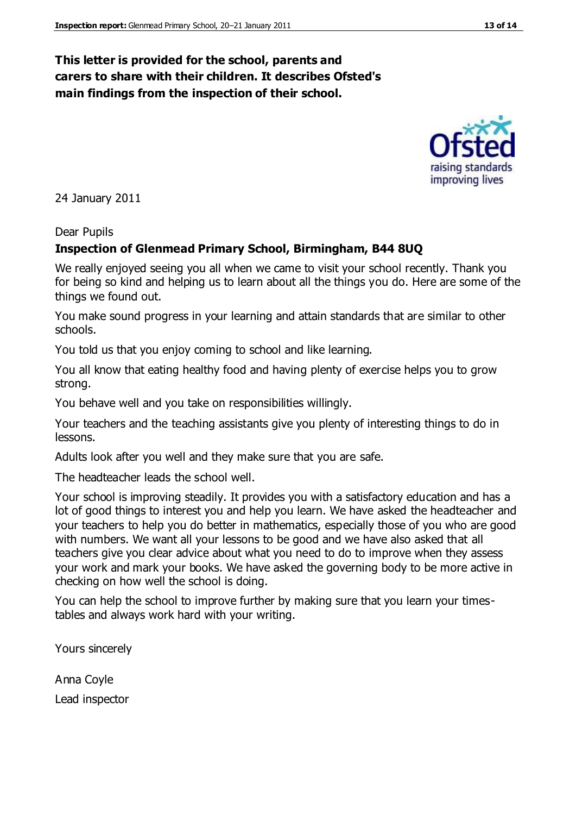## **This letter is provided for the school, parents and carers to share with their children. It describes Ofsted's main findings from the inspection of their school.**

24 January 2011

#### Dear Pupils

#### **Inspection of Glenmead Primary School, Birmingham, B44 8UQ**

We really enjoyed seeing you all when we came to visit your school recently. Thank you for being so kind and helping us to learn about all the things you do. Here are some of the things we found out.

You make sound progress in your learning and attain standards that are similar to other schools.

You told us that you enjoy coming to school and like learning.

You all know that eating healthy food and having plenty of exercise helps you to grow strong.

You behave well and you take on responsibilities willingly.

Your teachers and the teaching assistants give you plenty of interesting things to do in lessons.

Adults look after you well and they make sure that you are safe.

The headteacher leads the school well.

Your school is improving steadily. It provides you with a satisfactory education and has a lot of good things to interest you and help you learn. We have asked the headteacher and your teachers to help you do better in mathematics, especially those of you who are good with numbers. We want all your lessons to be good and we have also asked that all teachers give you clear advice about what you need to do to improve when they assess your work and mark your books. We have asked the governing body to be more active in checking on how well the school is doing.

You can help the school to improve further by making sure that you learn your timestables and always work hard with your writing.

Yours sincerely

Anna Coyle Lead inspector



improving lives